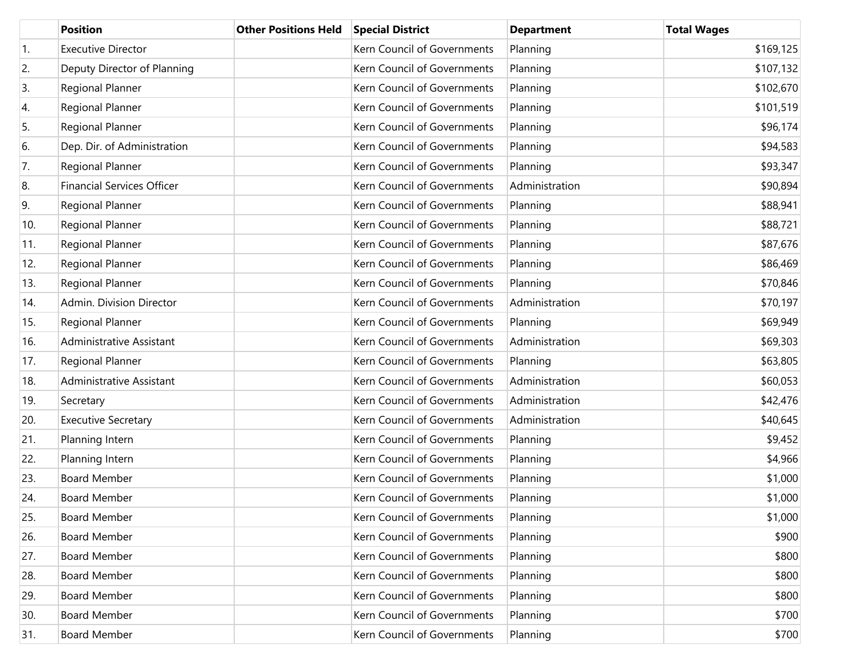|     | <b>Position</b>                   | <b>Other Positions Held</b> | <b>Special District</b>     | <b>Department</b> | <b>Total Wages</b> |
|-----|-----------------------------------|-----------------------------|-----------------------------|-------------------|--------------------|
| 1.  | <b>Executive Director</b>         |                             | Kern Council of Governments | Planning          | \$169,125          |
| 2.  | Deputy Director of Planning       |                             | Kern Council of Governments | Planning          | \$107,132          |
| 3.  | Regional Planner                  |                             | Kern Council of Governments | Planning          | \$102,670          |
| 4.  | Regional Planner                  |                             | Kern Council of Governments | Planning          | \$101,519          |
| 5.  | Regional Planner                  |                             | Kern Council of Governments | Planning          | \$96,174           |
| 6.  | Dep. Dir. of Administration       |                             | Kern Council of Governments | Planning          | \$94,583           |
| 7.  | Regional Planner                  |                             | Kern Council of Governments | Planning          | \$93,347           |
| 8.  | <b>Financial Services Officer</b> |                             | Kern Council of Governments | Administration    | \$90,894           |
| 9.  | Regional Planner                  |                             | Kern Council of Governments | Planning          | \$88,941           |
| 10. | Regional Planner                  |                             | Kern Council of Governments | Planning          | \$88,721           |
| 11. | Regional Planner                  |                             | Kern Council of Governments | Planning          | \$87,676           |
| 12. | Regional Planner                  |                             | Kern Council of Governments | Planning          | \$86,469           |
| 13. | Regional Planner                  |                             | Kern Council of Governments | Planning          | \$70,846           |
| 14. | Admin. Division Director          |                             | Kern Council of Governments | Administration    | \$70,197           |
| 15. | Regional Planner                  |                             | Kern Council of Governments | Planning          | \$69,949           |
| 16. | <b>Administrative Assistant</b>   |                             | Kern Council of Governments | Administration    | \$69,303           |
| 17. | Regional Planner                  |                             | Kern Council of Governments | Planning          | \$63,805           |
| 18. | <b>Administrative Assistant</b>   |                             | Kern Council of Governments | Administration    | \$60,053           |
| 19. | Secretary                         |                             | Kern Council of Governments | Administration    | \$42,476           |
| 20. | <b>Executive Secretary</b>        |                             | Kern Council of Governments | Administration    | \$40,645           |
| 21. | Planning Intern                   |                             | Kern Council of Governments | Planning          | \$9,452            |
| 22. | Planning Intern                   |                             | Kern Council of Governments | Planning          | \$4,966            |
| 23. | <b>Board Member</b>               |                             | Kern Council of Governments | Planning          | \$1,000            |
| 24. | <b>Board Member</b>               |                             | Kern Council of Governments | Planning          | \$1,000            |
| 25. | <b>Board Member</b>               |                             | Kern Council of Governments | Planning          | \$1,000            |
| 26. | <b>Board Member</b>               |                             | Kern Council of Governments | Planning          | \$900              |
| 27. | <b>Board Member</b>               |                             | Kern Council of Governments | Planning          | \$800              |
| 28. | <b>Board Member</b>               |                             | Kern Council of Governments | Planning          | \$800              |
| 29. | <b>Board Member</b>               |                             | Kern Council of Governments | Planning          | \$800              |
| 30. | <b>Board Member</b>               |                             | Kern Council of Governments | Planning          | \$700              |
| 31. | <b>Board Member</b>               |                             | Kern Council of Governments | Planning          | \$700              |